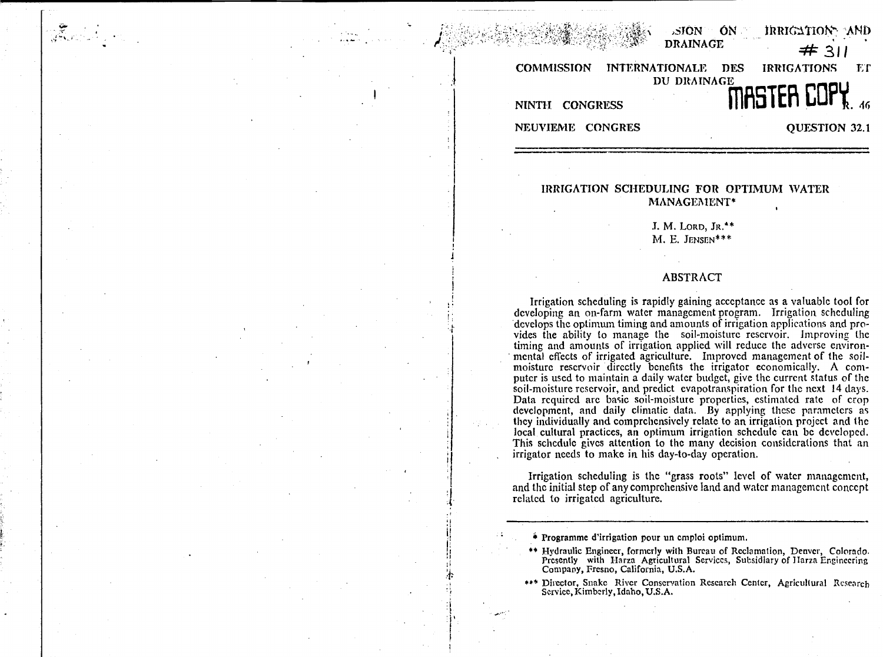| $\mathbb{C}^{1,1}$ and $\mathbb{C}^{1,1}$ and $\mathbb{C}^{1,1}$ and $\mathbb{C}^{1,1}$ and $\mathbb{C}^{1,1}$ and $\mathbb{C}^{1,1}$ |             | # 311              |
|---------------------------------------------------------------------------------------------------------------------------------------|-------------|--------------------|
| COMMISSION INTERNATIONALE DES IRRIGATIONS ET                                                                                          |             |                    |
| NINTH CONGRESS                                                                                                                        | DU DRAINAGE | <b>MASTER COPY</b> |
| NEUVIEME CONGRES                                                                                                                      |             | QUESTION 32.1      |

ang pang

sion On Irrigation<sub>7</sub>. AND

# **IRRIGATION SCHEDULING FOR OPTIMUM WATER MANAGEMENT\***

**J.** M. LORD, JR. \* \* M. E. JENSEN\*\*\*

# **ABSTRACT**

Irrigation scheduling is rapidly gaining acceptance as a valuable tool for developing an on-farm water management program. Irrigation scheduling 'develops the optimum timing and amounts of irrigation applications and provides the ability to manage the soil-moisture reservoir. Improving the timing and amounts of irrigation applied will reduce the adverse environmental effects of irrigated agriculture. Improved management of the soilmoisture reservoir directly benefits the irrigator economically. A computer is used to maintain a daily water budget, give the current status of the soil-moisture reservoir, and predict evapotranspiration for the next 14 days. Data required are basic soil-moisture properties, estimated rate of crop development, and daily climatic data. By applying these parameters as they individually and comprehensively relate to an irrigation project and the local cultural practices, an optimum irrigation schedule can be developed. This schedule gives attention to the many decision considerations that an irrigator needs to make in his day-to-day operation.

Irrigation scheduling is the "grass roots" level of water management, and the initial step of any comprehensive land and water management concept related to irrigated agriculture.

- Programme d'irrigation pour un emploi optimum.
- \*\* Hydraulic Engineer, formerly with Bureau of Reclamation, Denver, Colorado. Presently with Harza Agricultural Services, Subsidiary of Harza Engineering Company, Fresno, California, U.S.A.
- \*\*\* Director, Snake River Conservation Research Center, Agricultural Research Service, Kimberly, Idaho, U.S.A.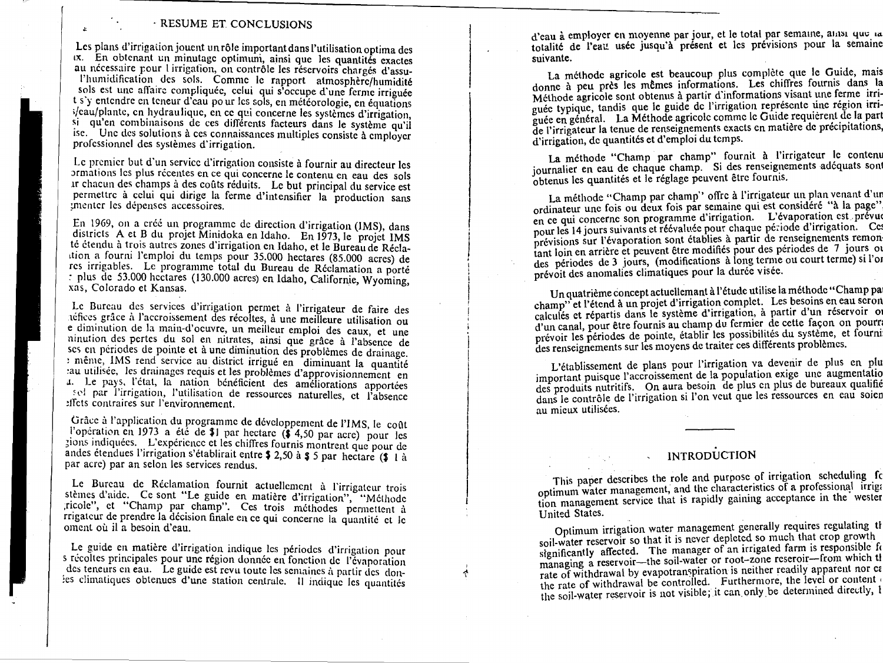# RESUME ET. CONCLUSIONS

Les plans d'irrigation jouent un rôle important dans l'utilisation optima des ix. En obtenant un minutagc optimuni, ainsi que les quantites exactes au nécessaire pour l'irrigation, on contrôle les réservoirs chargés d'assu-

l'humidification des sols. Comme le rapport atmosphere/humidite sols est une affaire compliquée, celui qui s'occupe d'une ferme irriguée t s'y entendre en tcneur d'cau pour ics sols, en meteorologie, en equations ;/eau/plants, en hydraulique, en cc qui concerne les systemes d'irrigation, si qu'en combinaisons de ces differents facteurs dans le systême qu'il ise. Unc des solutions à ces connaissances multiples consiste à employer profcssionnel des systemes d'irrigation.

Le premier but d'un service d'irrigation consiste à fournir au directeur les *annations* les plus recentes en ce qui concerne le contenu en eau des sols it chacun des champs a des coats reduits. Le but principal du service est permettre à celui qui dirige la ferme d'intensifier la production sans imenter les dépenses accessoires.

En 1969, on a créé un programme de direction d'irrigation (IMS), dans districts A et B du projet Minidoka en Idaho. En 1973, le projet IMS té étendu à trois autres zones d'irrigation en Idaho, et le Bureau de Réclattion a fourni l'emploi du temps pour 35.000 hectares (85.000 acres) de res irrigables. Le programme total du Bureau de Reclamation a porte plus de 53.000 hectares (130.000 acres) en Idaho, Californie, Wyoming, xas, Colorado et Kansas.

Le Bureau des services d'irrigation permet à l'irrigateur de faire des néfices grâce à l'accroissement des récoltes, à une meilleure utilisation ou e diminution de la main-d'oeuvre, un meilleur emploi des eaux, et une ninution des pertes du sol en nitrates, ainsi que grace a ''absence de scs en périodes de pointe et à une diminution des problèmes de drainage. : même, IMS rend service au district irrigué en diminuant la quantité :au utilisee, les drainages rcquis et les problemes d'approvisionnement en u. Le pays, l'état, la nation bénéficient des améliorations apportées sel par l'irrigation, l'utilisation de ressources naturelles, et l'absence !frets contraires sur Penvironnement.

Grâce à l'application du programme de développement de l'IMS, le coût Poperation en 1973 a été de \$1 par hectare (\$ 4,50 par acre) pour les ;ions indiquees. L'experience et les chiffres fournis montrent que pour de andes étendues l'irrigation s'établirait entre  $\frac{1}{2}$  2,50 à  $\frac{1}{2}$  5 par hectare ( $\frac{1}{2}$  1 à par acre) par an scion les services rendus.

Le Bureau de Réclamation fournit actuellement à l'irrigateur trois stèmes d'aide. Ce sont "Le guide en matière d'irrigation", "Méthode ,ricole", et "Champ par champ". Ces trois methodes permettent a rrigatcur de prendre la decision finale en ce qui concerne la quantite et lc oment où il a besoin d'eau.

Le guide en matière d'irrigation indique les périodes d'irrigation pour s récoltes principales pour une région donnée en fonction de l'évaporation des teneurs en eau. Le guide est revu toute les semaines à partir des donies climatiques obtenues d'une station centrale. Il indique les quantités

*A*

d'eau à employer en moyenne par jour, et le total par semaine, amsi que la totalité de l'eau usée jusqu'à présent et les prévisions pour la semaine suivante.

La méthode agricole est beaucoup plus complète que le Guide, mais donne à peu près les mêmes informations. Les chiffres fournis dans la Méthode agricole sont obtenus à partir d'informations visant une ferme irriguée typique, tandis que le guide de l'irrigation représente une région irriguée en général. La Méthode agricolc comme le Guide requièrent de la part de l'irrigateur la tenue de renseignements exacts en matiere de precipitations, d'irrigation, de quantités et d'emploi du temps.

La méthode "Champ par champ" fournit à l'irrigateur le contenu journalier en eau de chaque champ. Si des renseignements adéquats sont obtenus les quantités et le réglage peuvent être fournis.

La méthode "Champ par champ" offre à l'irrigateur un plan venant d'un ordinateur une fois ou deux fois par semaine qui est considéré "à la page" en ce qui concerne son programme d'irrigation. L'évaporation est prévue pour les 14 jours suivants et réévaluée pour chaque période d'irrigation. Ce prévisions sur l'évaporation sont établies à partir de renseignements remon tant loin en arrière et peuvent être modifiés pour des périodes de 7 jours of des périodes de 3 jours, (modifications à long terme ou court terme) si l'or prévoit des anomalies climatiques pour la durée visée.

Un quatrième concept actuellemant à l'étude utilise la méthode "Champ pa champ" et l'étend à un projet d'irrigation complet. Les besoins en eau scron calculés et répartis dans le système d'irrigation, à partir d'un réservoir of d'un canal, pour etre fournis au champ du fermier de cette facon on pourri prévoir les périodes de pointe, établir les possibilités du système, et fourni des renseignements sur les moyens de traiter ces différents problèmes.

L'etablissement de plans pour l'irrigation va devenir de plus en plu important puisque l'accroissement de la population exige une augmentatio des produits nutritifs. On aura besoin de plus cn plus de bureaux qualifie dans le contrôle de l'irrigation si l'on veut que les ressources en eau soien au mieux utilisées.

# **INTRODUCTION**

This paper describes the role and purpose of irrigation scheduling for optimum water management, and the characteristics of a professional irrigition management service that is rapidly gaining acceptance in the wester United States.

Optimum irrigation water management generally requires regulating soil-water reservoir so that it is never depleted so much that crop growth significantly affected. The manager of an irrigated farm is responsible for managing a reservoir—the soil-water or root–zone reseroir—from which tl rate of withdrawal by evapotranspiration is neither readily apparent nor cz the rate of withdrawal be controlled. Furthermore, the level or content the soil-water reservoir is not visible; it can only be determined directly,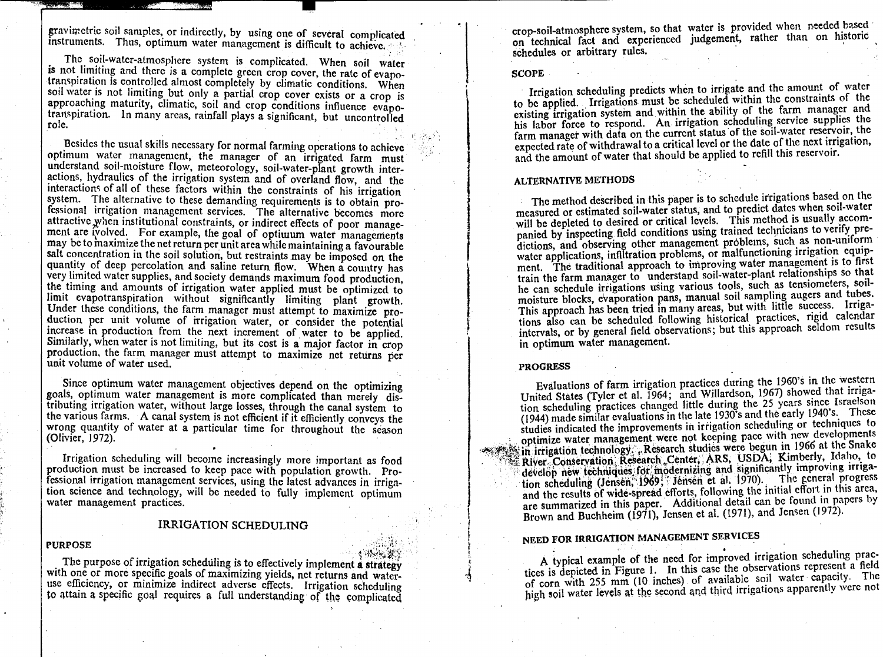gravimetric soil samples, or indirectly, by using one of several complicated instruments. Thus, optimum water management is difficult to achieve.

The soil-water-atmosphere system is complicated. When soil water is not limiting and there is a complete green crop cover, the rate of evapotranspiration is controlled almost completely by climatic conditions. When soil water is not limiting but only a partial crop cover exists or a crop is approaching maturity, climatic, soil and crop conditions influence evapotranspiration. In many areas, rainfall plays a significant, but uncontrolled role.

Besides the usual skills necessary for normal farming operations to achieve optimum water management, the manager of an irrigated farm must understand soil-moisture flow, meteorology, soil-water-plant growth interactions, hydraulics of the irrigation system and of overland flow, and the interactions of all of these factors within the constraints of his irrigation system. The alternative to these demanding requirements is to obtain professional irrigation management services. The alternative becomes more attractive when institutional constraints, or indirect effects of poor management are ivolved. For example, the goal of optimum water managements may be to maximize the net return per unit area while maintaining a favourable salt concentration in the soil solution, but restraints may be imposed on the quantity of deep percolation and saline return flow. When a country has very limited water supplies, and society demands maximum food production. the timing and amounts of irrigation water applied must be optimized to limit evapotranspiration without significantly limiting plant growth. Under these conditions, the farm manager must attempt to maximize production per unit volume of irrigation water, or consider the potential increase in production from the next increment of water to be applied. Similarly, when water is not limiting, but its cost is a major factor in crop production, the farm manager must attempt to maximize net returns per unit volume of water used.

Since optimum water management objectives depend on the optimizing goals, optimum water management is more complicated than merely distributing irrigation water, without large losses, through the canal system to the various farms. A canal system is not efficient if it efficiently conveys the wrong quantity of water at a particular time for throughout the season (Olivier, 1972).

Irrigation scheduling will become increasingly more important as food production must be increased to keep pace with population growth. Professional irrigation management services, using the latest advances in irrigation science and technology, will be needed to fully implement optimum water management practices.

#### IRRIGATION SCHEDULING

#### **PURPOSE**

The purpose of irrigation scheduling is to effectively implement a strategy with one or more specific goals of maximizing yields, net returns and wateruse efficiency, or minimize indirect adverse effects. Irrigation scheduling to attain a specific goal requires a full understanding' of the complicated crop-soil-atmosphere system, so that water is provided when needed based on technical fact and experienced judgement, rather than on historic schedules or arbitrary rules.

#### **SCOPE**

Irrigation scheduling predicts when to irrigate and the amount of water to be applied. Irrigations must be scheduled within the constraints of the existing irrigation system and within the ability of the farm manager and his labor force to respond. An irrigation scheduling service supplies the farm manager with data on the current status of the soil-water reservoir, the expected rate of withdrawal to a critical level or the date of the next irrigation, and the amount of water that should be applied to refill this reservoir.

# **ALTERNATIVE METHODS**

The method described in this paper is to schedule irrigations based on the measured or estimated soil-water status, and to predict dates when soil-water will be depleted to desired or critical levels. This method is usually accompanied by inspecting field conditions using trained technicians to verify predictions, and observing other management problems, such as non-uniform water applications, infiltration problems, or malfunctioning irrigation equipment. The traditional approach to improving water management is to first train the farm manager to understand soil-water-plant relationships so that he can schedule irrigations using various tools, such as tensiometers, soilmoisture blocks, evaporation pans, manual soil sampling augers and tubes. This approach has been tried in many areas, but with little success. Irrigations also can be scheduled following historical practices, rigid calendar intervals, or by general field observations; but this approach seldom results in optimum water management.

#### **PROGRESS**

Evaluations of farm irrigation practices during the 1960's in the western United States (Tyler et al. 1964; and Willardson, 1967) showed that irrigation scheduling practices changed little during the 25 years since Israelson (1944) made similar evaluations in the late 1930's and the early 1940's. These studies indicated the improvements in irrigation scheduling or techniques to optimize water management were not keeping pace with new developments in irrigation technology: Research studies were begun in 1966 at the Snake RiVer.,Contervation ReSeatcb,,Center, ARS, USDA; Kimberly, Idaho, to develop new techniques for modernizing and significantly improving irrigadevelop new techniques for modernizing and significantly improving triga-<br>tion scheduling (Jensen, 1969; Jensen et al. 1970). The general progress and the results of wide-spread efforts, following the initial effort in this area, are summarized in this paper. Additional detail can be found in papers by Brown and Buchheim (1971), Jensen et al. (1971), and Jensen (1972).

# **NEED FOR IRRIGATION MANAGEMENT SERVICES**

A typical example of the need for improved irrigation scheduling practices is depicted in Figure 1. In this case the observations represent a field of corn with 255 mm (10 inches) of available soil water capacity. The high soil water levels at the second and third irrigations apparently were not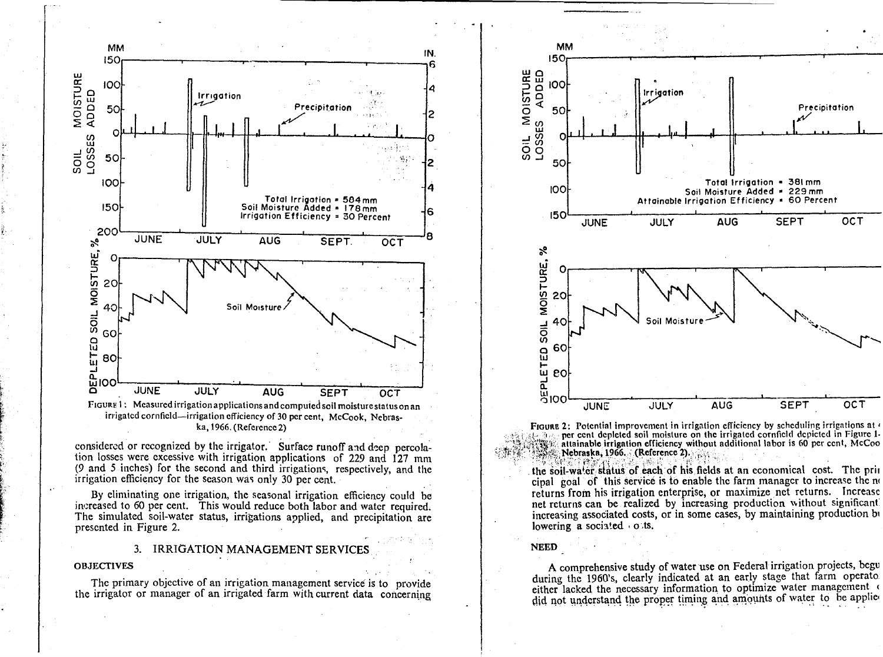

#### ka, 1966. (Reference 2)

considered or recognized by the irrigator. Surface runoff and deep percolation losses were excessive with irrigation applications of 229 and 127 mm (9 and 5 inches) for the second and third irrigations, respectively, and the irrigation efficiency for the season was only 30 per cent.

By eliminating one irrigation, the seasonal irrigation efficiency could be increased to 60 per cent. This would reduce both labor and water required. The simulated soil-water status, irrigations applied, and precipitation are presented in Figure 2.

# 3. IRRIGATION MANAGEMENT SERVICES

**OBJECTIVES** 

The primary objective of an irrigation management service is to provide the irrigator or manager of an irrigated farm with current data concerning



FIGURE 2: Potential improvement in irrigation efficiency by scheduling irrigations at  $\epsilon$ per cent depleted soil moisture on the irrigated cornfield depicted in Figure 1-Altainable irrigation efficiency without additional labor is 60 per cent, McCoo

the soil-water status of each of his fields at an economical cost. The prin cipal goal of this service is to enable the farm manager to increase the no returns from his irrigation enterprise, or maximize net returns. Increase net returns can be realized by increasing production without significant increasing associated costs, or in some cases, by maintaining production be lowering a sociated o.ts.

# **NEED**

A comprehensive study of water use on Federal irrigation projects, begu during the 1960's, clearly indicated at an early stage that farm operato. either lacked the necessary information to optimize water management did not understand the proper timing and amounts of water to be applied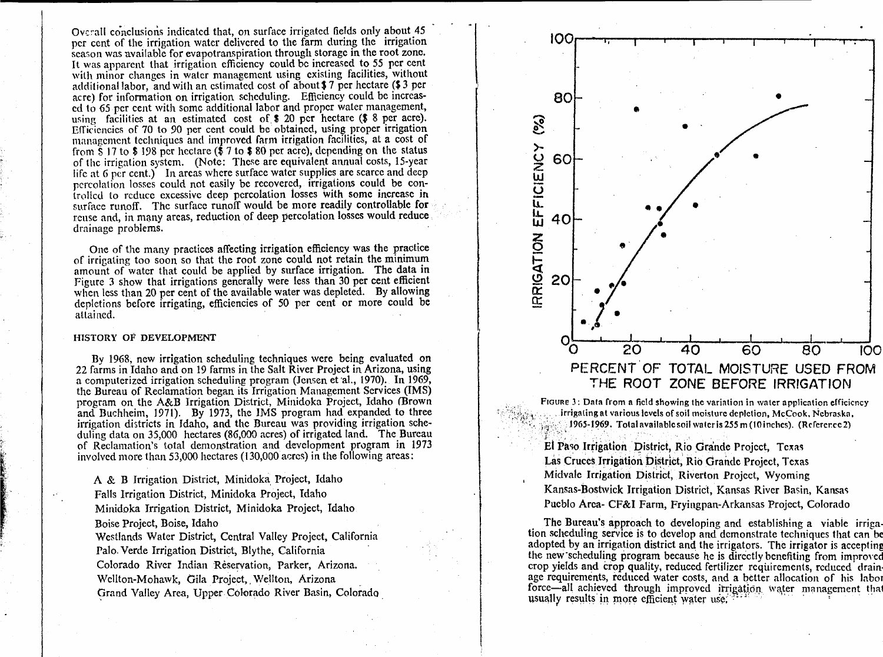Overall conclusions indicated that, on surface irrigated fields only about 45 per cent of the irrigation water delivered to the farm during the irrigation season was available for evapotranspiration through storage in the root zone. It was apparent that irrigation efficiency could be increased to 55 per cent with minor changes in water management using existing facilities, without additional labor, and with an estimated cost of about \$ 7 per hectare (\$ 3 per acre) for information on irrigation scheduling. Efficiency could be increased to 65 per cent with some additional labor and proper water management, using facilities at an estimated cost of. \$ 20 per hectare (\$ 8 per acre). Efficiencies of 70 to 90 per cent could be obtained, using proper irrigation management techniques and improved farm irrigation facilities, at a cost of from \$ 17 to \$ 198 per hectare (\$ 7 to \$ 80 per acre), depending on the status of the irrigation system. (Note: These are equivalent annual costs, 15-year life at 6 per cent.) In areas where surface water supplies are scarce and deep percolation losses could not easily be recovered, irrigations could be controlled to reduce excessive deep percolation losses with some increase in surface runoff. The surface runoff would be more readily controllable for reuse and, in many areas, reduction of deep percolation losses would reduce drainage problems.

One of the many practices affecting irrigation efficiency was the practice of irrigating too soon so that the root zone could not retain the minimum amount of water that could be applied by surface irrigation. The data in Figure 3 show that irrigations generally were less than 30 per cent efficient when less than 20 per cent of the available water was depleted. By allowing depletions before irrigating, efficiencies of 50 per cent or more could be attained.

## HISTORY OF DEVELOPMENT

By 1968, new irrigation scheduling techniques were being evaluated on 22 farms in Idaho and on 19 farms in the Salt River Project in Arizona, using a computerized irrigation scheduling program (Jensen et al., 1970). In 1969 the Bureau of Reclamation began its Irrigation Management Services (IMS) program on the A&B Irrigation District, Minidoka Project, Idaho (Brown and Buchheim, 1971). By 1973, the IMS program had expanded to three irrigation districts in Idaho, and the Bureau was providing irrigation scheduling data on 35,000 hectares (86,000 acres) of irrigated land. The Bureau of Reclamation's total demonstration and development program in 1973 involved more than 53,000 hectares (130,000 acres) in the following areas:

A & B Irrigation District, Minidoka, Project, Idaho Falls Irrigation District, Minidoka Project, Idaho Minidoka Irrigation District, Minidoka Project, Idaho Boise Project, Boise, Idaho Westlands Water District, Central Valley Project, California Palo. Verde Irrigation District, Blythe, California Colorado River Indian Reservation, Parker, Arizona. Wcllton-Mohawk, Gila Project, Wellton, Arizona Grand Valley Area, Upper Colorado River Basin, Colorado



FIGURE 3: Data from a field showing the variation in water application efficiency **irrigating at various levels of soil moisture depletion, McCook. Nebraska, 1965-1969. Total available soil wateris 255 m (1f/inches). (Refererec 2)**

EL Paso Irrigation District, Rio Grande Project, Texas Las Cruces Irrigation District, Rio Grande Project, Texas Midvale Irrigation District, Riverton Project, Wyoming Kansas-Bostwick Irrigation District, Kansas River Basin, Kansas Pueblo Area- CE&I Farm, Fryingpan-Arkansas Project, Colorado

The Bureau's approach to developing and establishing a viable irrigation scheduling service is to develop and demonstrate techniques that can be adopted by an irrigation district and the irrigators. The irrigator is accepting the new-scheduling program because he is directly benefiting from improved crop yields and crop quality, reduced fertilizer requirements, reduced drainage requirements, reduced water costs, and a better allocation of his labor force—all achieved through improved irrigation water management that usually results in more efficient water use;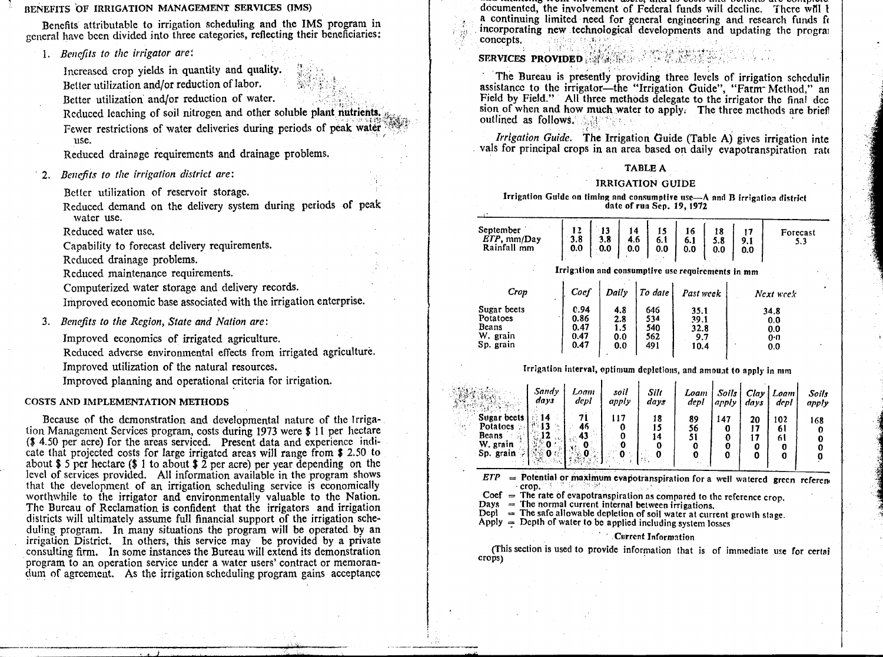### BENEFITS OF IRRIGATION MANAGEMENT SERVICES (IMS)

Benefits attributable to irrigation scheduling and the IMS program in general have been divided into three categories, reflecting their beneficiaries:

*1. Benefits to the irrigator are:*

Increased crop yields in quantity and quality. Better utilization and/or reduction of labor.

Better utilization and/or reduction of water.

Reduced leaching of soil nitrogen and other soluble plant nutrients. Fewer restrictions of water deliveries during periods of peak water use.

Reduced drainage requirements and drainage problems.

*2. Benefits to the irrigation district are:*

Better utilization of reservoir storage.

Reduced demand on the delivery system during periods of peak water use.

Reduced water use.

Capability to forecast delivery requirements.

Reduced drainage problems.

Reduced maintenance requirements.

Computerized water storage and delivery records.

Improved economic base associated with the irrigation en terprise.

3. *Benefits to the Region, State and Nation are:*

Improved economics of irrigated agriculture.

Reduced adverse environmental effects from irrigated a griculture.Improved utilization of the natural resources. Improved planning and operational criteria for irrigation

# COSTS AND IMPLEMENTATION METHODS

Because of the demonstration and developmental nature of the Irrigation Management Services program, costs during 1973 were \$ 11 per hectare (\$ 4.50 per acre) for the areas serviced. Present data and experience indicate that projected costs for large irrigated areas will range from \$ 2.50 to about \$ 5 per hectare (\$ 1 to about \$ 2 per acre) per year depending on the level of services provided. All information available in the program shows that the development of an irrigation scheduling service is economically worthwhile to the irrigator and environmentally valuable to the Nation. The Bureau of Reclamation is confident that the irrigators and irrigation districts will ultimately assume full financial support of the irrigation scheduling program. In many situations the program will be operated by an irrigation District. In others, this service may be provided by a private consulting firm. In some instances the Bureau will extend its demonstration program to an operation service under a water users' contract or memorandum of agreement. As the irrigation scheduling program gains acceptance

documented, the involvement of Federal funds will decline. There writ t a continuing limited need for general engineering and research funds ft incorporating new technological developments and updating the prograi concepts. . .

# **SERVICES PROVIDED**

The Bureau is presently providing three levels of irrigation schedulin assistance to the irrigator—the "Irrigation Guide", "Farm Method," an Field by Field." All three methods delegate to the irrigator the final dcc sion of when and how much water to apply. The three methods are briefl outlined as follows.

*Irrigation Guide.* The Irrigation Guide (Table A) gives irrigation inte vals for principal crops in an area based on daily evapotranspiration rate

# TABLE A

#### IRRIGATION GUIDE

Irrigation Guide on timing and consumptive use $-\Lambda$  and B irrigation district date of run Sep. 19, 1972

| September<br>ETP, mm/Day<br>Rainfall mm | 3.8<br>0.0 | 3.8<br>0.0 | 14<br>4.6<br>0.0 | 15<br>6.1<br>0.0 | 16<br>6.1<br>0.0 | 5.8<br>0.0 | 9.1<br>0.0 | Forecast<br>5.3 |
|-----------------------------------------|------------|------------|------------------|------------------|------------------|------------|------------|-----------------|
|                                         | $\bullet$  |            |                  | . .              |                  |            |            |                 |

## Irrigation and consumptive use requirements in mm

| Crop<br>$\ddot{\phantom{a}}$ | Coef | Daily | l To date | Past week | Next week |
|------------------------------|------|-------|-----------|-----------|-----------|
| Sugar beets                  | C.94 | 4.8   | 646       | 35.1      | 34.8      |
| Potatoes                     | 0.86 | 2.8   | 534       | 39.1      | 0.0       |
| Beans                        | 0.47 | 1.5   | 540       | 32.8      | 0.0       |
| W. grain                     | 0.47 | 0.0   | 562       | 9.7       | 0:0       |
| Sp. grain                    | 0.47 | 0.0   | 491       | 10.4      | 0.0       |

# Irrigation interval, optimum depletions, and amount to apply in mm

|                                                                    | Sandy<br>days     | Loam<br>depl           | soil<br>apply | Silt<br>days   | Loam<br>depl | Soils  <br>.apply | davs    | Clay   Loam<br>depl         | Soils<br>apply |
|--------------------------------------------------------------------|-------------------|------------------------|---------------|----------------|--------------|-------------------|---------|-----------------------------|----------------|
| Sugar beets<br>Potatoes :<br><b>Beans</b><br>W. grain<br>Sp. grain | 14<br>813<br>Ta . | 46<br>43<br>чt.<br>45. |               | 18<br>15<br>14 | 89<br>56     | 147               | 20<br>o | i 02<br>6 l<br>61<br>o<br>0 | 168            |

 $ETP =$  Potential or maximum evapotranspiration for a well watered green referen∈

Coef  $=$  The rate of evapotranspiration as compared to the reference crop.<br>Days  $=$  The normal current internal between irrigations.

 $\overrightarrow{Depl}$  = The safe allowable depletion of soil water at current growth stage.

Apply  $=$  Depth of water to be applied including system losses

# Current Information

crops) (This section is used to provide information that is of immediate use for certai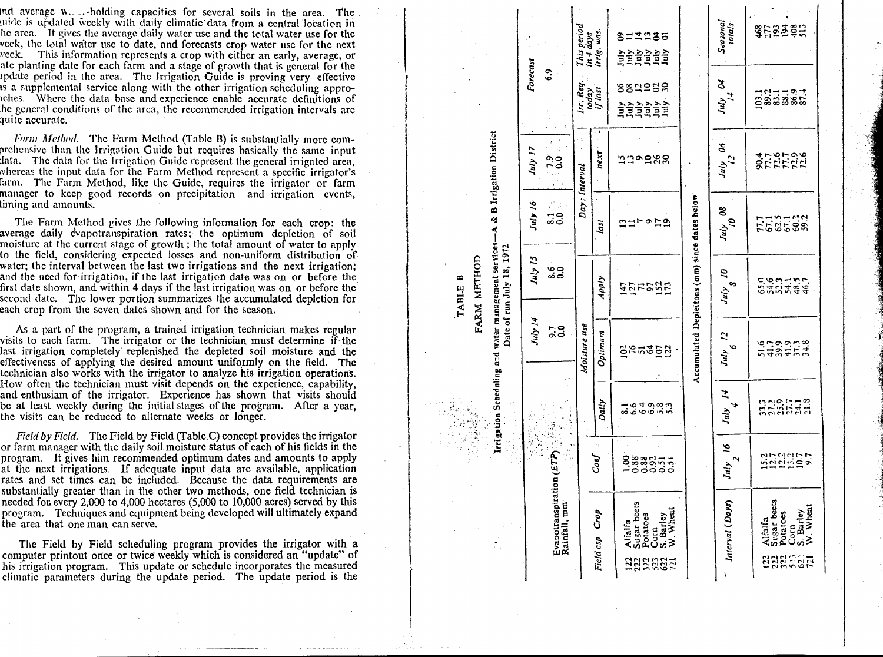Ind average w. Abolding capacities for several soils in the area. The uide is updated weekly with daily climatic data from a central location in he area. It gives the average daily water use and the total water use for the veek, the total water use to date, and forecasts erop water use for the next  $\alpha$  week. This information represents a crop with either an early, average, or ate planting date for each farm and a stage of growth that is general for the update period in the area. The Irrigation Guide is proving very effective is a supplemental service along with the other irrigation scheduling approiches. Where the data base and experience enable accurate definitions of he general conditions of the area, the recommended irrigation intervals are auite accurate.

Farm Method. The Farm Method (Table B) is substantially more comprehensive than the Irrigation Guide but requires basically the same input lata. The data for the Irrigation Guide represent the general irrigated area. whereas the input data for the Farm Method represent a specific irrigator's farm. The Farm Method, like the Guide, requires the irrigator or farm manager to keep good records on precipitation and irrigation events. liming and amounts.

The Farm Method gives the following information for each crop: the average daily evapotranspiration rates; the optimum depletion of soil moisture at the current stage of growth : the total amount of water to apply to the field, considering expected losses and non-uniform distribution of water; the interval between the last two irrigations and the next irrigation: and the need for irrigation, if the last irrigation date was on or before the first date shown, and within 4 days if the last irrigation was on or before the second date. The lower portion summarizes the accumulated depletion for each crop from the seven dates shown and for the season.

As a part of the program, a trained irrigation technician makes regular visits to each farm. The irrigator or the technician must determine if the last irrigation completely replenished the depleted soil moisture and the effectiveness of applying the desired amount uniformly on the field. The technician also works with the irrigator to analyze his irrigation operations. How often the technician must visit depends on the experience, capability, and enthusiam of the irrigator. Experience has shown that visits should be at least weekly during the initial stages of the program. After a year, the visits can be reduced to alternate weeks or longer.

Field by Field. The Field by Field (Table C) concept provides the irrigator or farm manager with the daily soil moisture status of each of his fields in the program. It gives him recommended optimum dates and amounts to apply at the next irrigations. If adequate input data are available, application rates and set times can be included. Because the data requirements are substantially greater than in the other two methods, one field technician is needed for every 2,000 to 4,000 hectares (5,000 to 10,000 acres) served by this program. Techniques and equipment being developed will ultimately expand the area that one man can serve.

The Field by Field scheduling program provides the irrigator with a computer printout once or twice weekly which is considered an "update" of his irrigation program. This update or schedule incorporates the measured climatic parameters during the update period. The update period is the

|                                                                               |                                         |                        | This period<br>in 4 days<br>irrig. was. | 8=1935<br><u>ਤੇ</u> ਤੇ ਤੇ ਤੇ ਤੇ ਤੇ<br>ਤੇ ਤੇ ਤੇ ਤੇ ਤੇ                                     |                                               | Seasonal<br>totals       | <b>SHERESH</b>                                                                     |
|-------------------------------------------------------------------------------|-----------------------------------------|------------------------|-----------------------------------------|------------------------------------------------------------------------------------------|-----------------------------------------------|--------------------------|------------------------------------------------------------------------------------|
|                                                                               | Forecast<br>6.9                         | Irr. Req               | today<br>if last                        | ននិដីទន្ទ<br><u> 슬슬슬슬슬</u>                                                               |                                               | z<br>H <sub>1</sub><br>H | 1311191                                                                            |
|                                                                               | $\mathcal{I}$<br>July 17<br>0.000<br>٠, | $\boldsymbol{z}$<br>Ý, | next"                                   | ມີມື້ຈອສຮ                                                                                |                                               | 90<br>$J_{\mu}J_{L2}$    | 8555555<br>855555                                                                  |
|                                                                               | ĝ<br>July 16<br>$\frac{1}{20}$          | Day; Interval          | last                                    | nurona                                                                                   |                                               | $July$ 08                | <b>HE2522</b>                                                                      |
| Date of run July 18, 1972<br>FARM METHOD<br>m<br>TABLE                        | July 15<br>ဖို့ဝ                        |                        | Apply                                   | 1252022<br>125522                                                                        |                                               | S,<br>o,<br>July         | c.org<br>Stritgg                                                                   |
| Irtigation Scheduling and water management services-A & B Irrigation District | July 14<br>$\frac{7}{0.0}$              | Moisture use           | Optimum                                 | <b>genson</b>                                                                            | Accumulated Depicitons (mm) since dates below | 2<br>∾<br>July           | <b>ここのこと</b><br>193427                                                             |
|                                                                               |                                         | 医生产的                   | Daily                                   | しゅうしゅうしょう                                                                                |                                               | ュ<br>July                | nnenttä<br>និងនិងដ                                                                 |
|                                                                               | $\cos(ETP)$                             |                        | Coef                                    | $\frac{8}{1}$<br>338555                                                                  |                                               | $\tilde{a}$<br>N<br>July | nundur<br>Nguniya                                                                  |
|                                                                               | Evapotranspirat<br>Rainfall, mm         |                        | Field csp Crop                          | Alfalfa<br>Sugar beets<br>Potatoes<br>Corn<br>S. Barley<br>W. Wheat<br>622<br>222<br>223 |                                               | Interval (Days)          | Alfalfa<br>Sugar beets<br>Potatoes<br>Corn<br>S. Barley<br>W. Wheat<br>និងមួយខ្លួន |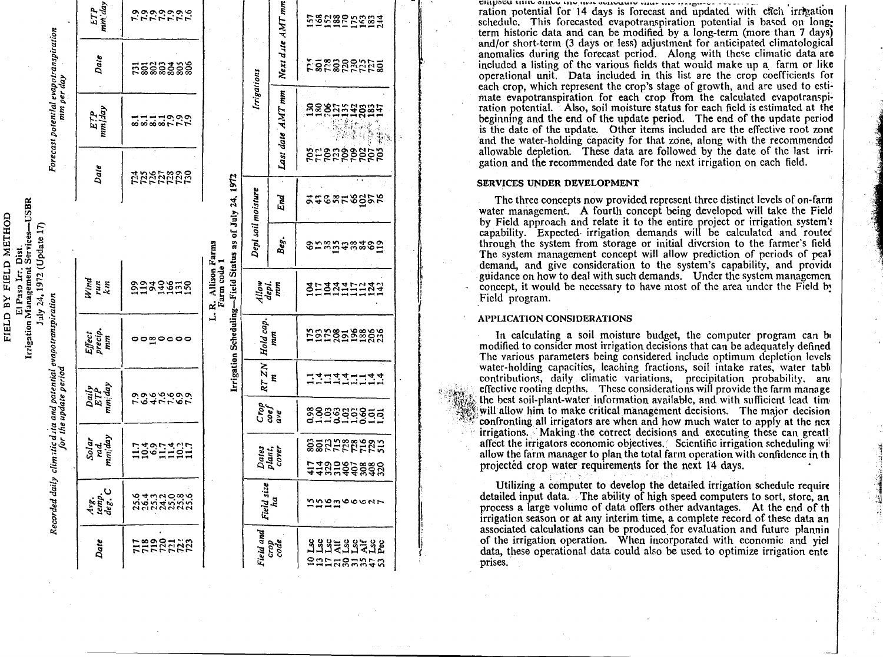| ETP<br>mm'.day                                                                                                                                                                              | というじゅうよう                |                                    |                                                        |                    | 58282588#                |                               |  |
|---------------------------------------------------------------------------------------------------------------------------------------------------------------------------------------------|-------------------------|------------------------------------|--------------------------------------------------------|--------------------|--------------------------|-------------------------------|--|
|                                                                                                                                                                                             | Date                    | <u>ដុឌិន្គនីន្ទីន្ទី</u>           |                                                        |                    | Next dute AMT mm         | <b>Esessentes</b>             |  |
| Forecast potential evapotranspiration<br>mm per day                                                                                                                                         | ETP<br>mm/1ay           | 8888777                            |                                                        | Irrigations        | Lasi date AMT mm         | százásza                      |  |
|                                                                                                                                                                                             | Date                    | 2222222                            |                                                        |                    |                          | 828888888                     |  |
|                                                                                                                                                                                             |                         |                                    |                                                        |                    | End                      | <b>246858858</b>              |  |
|                                                                                                                                                                                             |                         |                                    | Irrigation Scheduling-Field Status as of July 24, 1972 | Depl soil moisture | Beg.                     | 858588385                     |  |
| July 24, 1972 (Update 17)<br>Wind<br>run<br>km<br>Recorded daily climatic data and patential evapotranspiration<br>$\begin{array}{l} \hbox{Effect}\\ \hbox{precip}\\ \hbox{mm} \end{array}$ | 2933855                 | L. R. Allison Farms<br>Farm code 1 | $\frac{dilow}{depl}$                                   |                    | 303340034                |                               |  |
|                                                                                                                                                                                             | <b>00</b> 0000          |                                    | Hold cap.                                              | mm                 | <b>ESE8558888</b>        |                               |  |
|                                                                                                                                                                                             |                         |                                    |                                                        | RT ZN              | E                        | =========                     |  |
| for the update period                                                                                                                                                                       | Daily<br>ETP<br>mm:day  | ro4rror                            |                                                        |                    | $Crop$<br>coef<br>ave    | 888888855<br>011011011        |  |
|                                                                                                                                                                                             | Solar<br>rad.<br>mm/day | 1391421                            |                                                        |                    | Dates<br>plant,<br>cover | 882222222                     |  |
|                                                                                                                                                                                             |                         |                                    |                                                        |                    |                          | 113385888                     |  |
|                                                                                                                                                                                             | Arg.<br>temp.<br>deg. C | <b>るすうこのもの</b><br>とすうないです          |                                                        | Field size         | ha.                      | nngnoocar                     |  |
|                                                                                                                                                                                             | Date                    | <b>HERBERR</b>                     |                                                        | Field and          | crode<br>code            | <b>ARAERAZAR</b><br>entusunta |  |

CRHISCU UNIU SINGG DIG IRA aguguan con con c

ration potential for 14 days is forecast and undated with each irrevation schedule. This forecasted evapotranspiration potential is based on longterm historic data and can be modified by a long-term (more than 7 days) and/or short-term (3 days or less) adjustment for anticipated climatological anomalies during the forecast period. Along with these climatic data are included a listing of the various fields that would make up a farm or like operational unit. Data included in this list are the crop coefficients for each crop, which represent the crop's stage of growth, and are used to estimate evapotranspiration for each crop from the calculated evapotranspiration potential. Also, soil moisture status for each field is estimated at the beginging and the end of the update period. The end of the update period is the date of the update. Other items included are the effective root zone and the water-holding capacity for that zone, along with the recommended allowable depletion. These data are followed by the date of the last irrigation and the recommended date for the next irrigation on each field.

#### **SERVICES UNDER DEVELOPMENT**

The three concepts now provided represent three distinct levels of on-farm water management. A fourth concept being developed will take the Field by Field approach and relate it to the entire project or irrigation system's capability. Expected irrigation demands will be calculated and routed through the system from storage or initial diversion to the farmer's field The system management concept will allow prediction of periods of peak demand, and give consideration to the system's capability, and provide guidance on how to deal with such demands. Under the system managemen concept, it would be necessary to have most of the area under the Field by Field program.

#### **APPLICATION CONSIDERATIONS**

In calculating a soil moisture budget, the computer program can be modified to consider most irrigation decisions that can be adequately defined The various parameters being considered include optimum depletion levels water-holding capacities, leaching fractions, soil intake rates, water table contributions, daily climatic variations, precipitation probability, and effective rooting depths. These considerations will provide the farm manage the best soil-plant-water information available, and with sufficient lead time will allow him to make critical management decisions. The major decision confronting all irrigators are when and how much water to apply at the nex irrigations. Making the correct decisions and executing these can greatly affect the irrigators economic objectives. Scientific irrigation scheduling will allow the farm manager to plan the total farm operation with confidence in the projected crop water requirements for the next 14 days.

Utilizing a computer to develop the detailed irrigation schedule require detailed input data. The ability of high speed computers to sort, store, an process a large volume of data offers other advantages. At the end of the irrigation season or at any interim time, a complete record of these data an associated calculations can be produced for evaluation and future plannin of the irrigation operation. When incorporated with economic and viel data, these operational data could also be used to optimize irrigation enter prises.

FIELD BY FIELD METHOD El Paso Ir., Dist.<br>Irigation Management Servi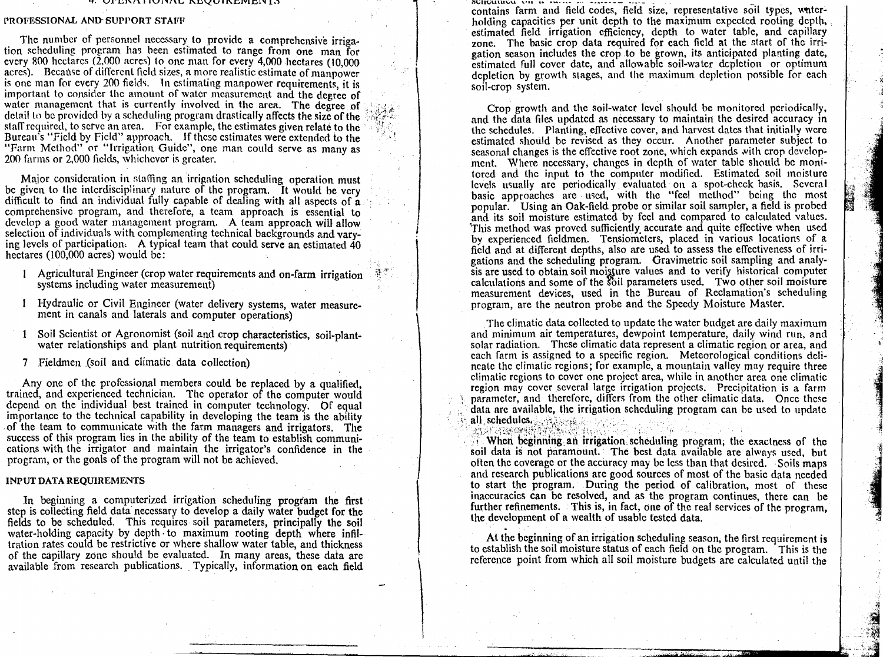#### Y. /A **1 I** I II, ilLik,Z 1 LVEAV1.01,1 1.)

#### PROFESSIONAL AND SUPPORT STAFF

The number of personnel necessary to provide a comprehensive irrigation scheduling program has been estimated to range from one man for every 800 hectares (2,000 acres) to one man for every 4,000 hectares (10,000 acres). Because of different field sizes, a more realistic estimate of manpower is one man for every 200 fields. In estimating manpower requirements, it is important to consider the amount of water measurement and the degree of water management that is currently involved in the area. The degree of detail to be provided by a scheduling program drastically affects the size of the staff required, to serve an area. For example, the estimates given relate to the Bureau's "Field by Field" approach. If these estimates were extended to the "Farm Method" or "Irrigation Guide", one man could serve as many as 200 farms or 2,000 fields, whichever is greater.

Maior consideration in staffing an irrigation scheduling operation must be given to the interdisciplinary nature of the program. It would be very difficult to find an individual fully capable of dealing with all aspects of a comprehensive program, and therefore, a team approach is essential to develop a good water management program. A team approach will allow selection of individuals with complementing technical backgrounds and varying levels of participation. A typical team that could serve an estimated 40 hectares (100,000 acres) would be:

- Agricultural Engineer (crop water requirements and on-farm irrigation systems including water measurement)
- Hydraulic or Civil Engineer (water delivery systems, water measurement in canals and laterals and computer operations)
- 1 Soil Scientist or Agronomist (soil and crop characteristics, soil-plantwater relationships and plant nutrition requirements)
- 7 Fieldmen ,(soil and climatic data collection)

Any one of the professional members could be replaced by a qualified, trained, and experienced technician. The operator of the computer would depend on the individual best trained in computer technology. Of equal importance to the technical capability in developing the team is the ability . of the team to communicate with the farm managers and irrigators. The success of this program lies in the ability of the team to establish communications with the irrigator and maintain the irrigator's confidence in the program, or the goals of the program will not be achieved.

#### INPUT DATA REQUIREMENTS

In beginning a computerized irrigation scheduling program the first step is collecting field data necessary to develop a daily water budget for the fields to be scheduled. This requires soil parameters, principally the soil water-holding capacity by depth to maximum rooting depth where infiltration rates could be restrictive or where shallow water table, and thickness of the capillary zone should be evaluated. In many areas, these data are available from research publications. Typically, information on each field

*<u>RUINCUMBERL ATH-66 INSTER</u>* contains farm and field codes, field size, representative soil types, waterholding capacities per unit depth to the maximum expected rooting depth, estimated field irrigation efficiency, depth to water table, and capillary zone. The basic crop data required for each field at the start of the irrigation season includes the crop to be grown, its anticipated planting date, estimated full cover date, and allowable soil-water depletion or optimum depletion by growth stages, and the maximum depletion possible for each soil-crop system.

Crop growth and the soil-water level should be monitored periodically, and the data files updated as necessary to maintain the desired accuracy in the schedules. Planting, effective cover, and harvest dates that initially were estimated should be revised as they occur. Another parameter subject to seasonal changes is the effective root zone, which expands with crop development. Where necessary, changes in depth of water table should be monitored and the input to the computer modified. Estimated soil moisture levels usually arc periodically evaluated on a spot-check basis. Several basic approaches are used, with the "feel method" being the most popular. Using an Oak-field probe or similar soil sampler, a field is probed and its soil moisture estimated by feel and compared to calculated values. This method was proved sufficiently. accurate and quite effective when used by experienced fieldmen. Tensiometers, placed in various locations of a field and at different depths, also are used to assess the effectiveness of irrigations and the scheduling program. Gravimetric soil sampling and analysis are used to obtain soil moisture values and to verify historical computer calculations and some of the  $\delta$ bil parameters used. Two other soil moisture measurement devices, used in the Bureau of Reclamation's scheduling program, are the neutron probe and the Speedy Moisture Master.

The climatic data collected to update the water budget are daily maximum and minimum air temperatures, dewpoint temperature, daily wind run, and solar radiation. These climatic data represent a climatic region or area, and each farm is assigned to a specific region. Meteorological conditions delineate the climatic regions; for example, a mountain valley may require three climatic regions to cover one project area, while in another area one climatic region may cover several large irrigation projects. Precipitation is a farm parameter, and therefore, differs from the other climatic data. Once these data arc available, the irrigation scheduling program can be used to update all schedules, and all schedules,

When beginning an irrigation scheduling program, the exactness of the soil data is not paramount. The best data available are always used, but often the coverage or the accuracy may be less than that desired. Soils maps and research publications are good sources of most of the basic data needed to start the program. During the period of calibration, most of these inaccuracies can be resolved, and as the program continues, there can be further refinements. This is, in fact, one of the real services of the program, the development of a wealth of usable tested data.

At the beginning of an irrigation scheduling season, the first requirement is to establish the soil moisture status of each field on the program. This is the reference point from which all soil moisture budgets are calculated until the